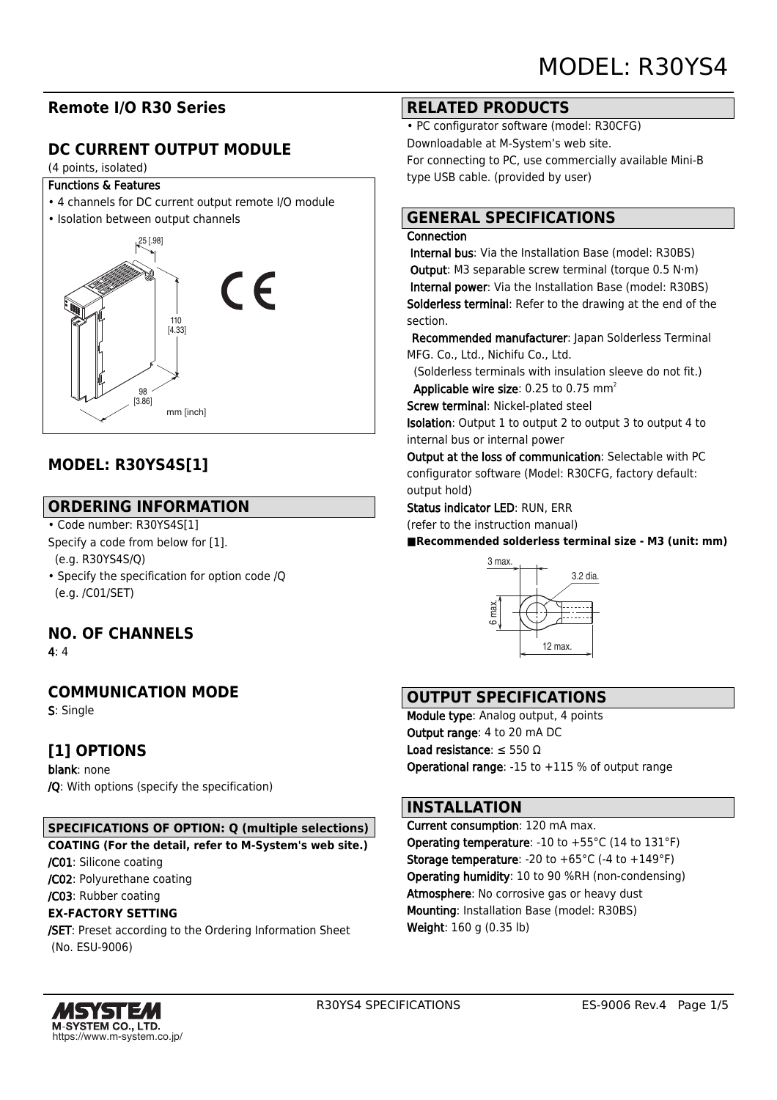# **Remote I/O R30 Series**

# **DC CURRENT OUTPUT MODULE**

#### (4 points, isolated)

#### Functions & Features

- 4 channels for DC current output remote I/O module
- Isolation between output channels



# **MODEL: R30YS4S[1]**

# **ORDERING INFORMATION**

- Code number: R30YS4S[1]
- Specify a code from below for [1]. (e.g. R30YS4S/Q)
- Specify the specification for option code /Q (e.g. /C01/SET)

# **NO. OF CHANNELS**

4: 4

# **COMMUNICATION MODE**

S: Single

# **[1] OPTIONS**

blank: none /Q: With options (specify the specification)

## **SPECIFICATIONS OF OPTION: Q (multiple selections)**

**COATING (For the detail, refer to M-System's web site.)**

/C01: Silicone coating

/C02: Polyurethane coating

/C03: Rubber coating

### **EX-FACTORY SETTING**

/SET: Preset according to the Ordering Information Sheet (No. ESU-9006)

## **RELATED PRODUCTS**

• PC configurator software (model: R30CFG) Downloadable at M-System's web site. For connecting to PC, use commercially available Mini-B type USB cable. (provided by user)

# **GENERAL SPECIFICATIONS**

#### **Connection**

 Internal bus: Via the Installation Base (model: R30BS) Output: M3 separable screw terminal (torque 0.5 N·m) Internal power: Via the Installation Base (model: R30BS) Solderless terminal: Refer to the drawing at the end of the section.

Recommended manufacturer: Japan Solderless Terminal MFG. Co., Ltd., Nichifu Co., Ltd.

 (Solderless terminals with insulation sleeve do not fit.) Applicable wire size:  $0.25$  to  $0.75$  mm<sup>2</sup>

Screw terminal: Nickel-plated steel

Isolation: Output 1 to output 2 to output 3 to output 4 to internal bus or internal power

Output at the loss of communication: Selectable with PC configurator software (Model: R30CFG, factory default: output hold)

Status indicator LED: RUN, ERR

(refer to the instruction manual)

■Recommended solderless terminal size - M3 (unit: mm)



## **OUTPUT SPECIFICATIONS**

Module type: Analog output, 4 points Output range: 4 to 20 mA DC Load resistance: ≤ 550 Ω Operational range: -15 to +115 % of output range

## **INSTALLATION**

Current consumption: 120 mA max. **Operating temperature: -10 to +55 °C (14 to 131 °F) Storage temperature:** -20 to  $+65^{\circ}$ C (-4 to  $+149^{\circ}$ F) Operating humidity: 10 to 90 %RH (non-condensing) Atmosphere: No corrosive gas or heavy dust Mounting: Installation Base (model: R30BS) Weight: 160 g (0.35 lb)

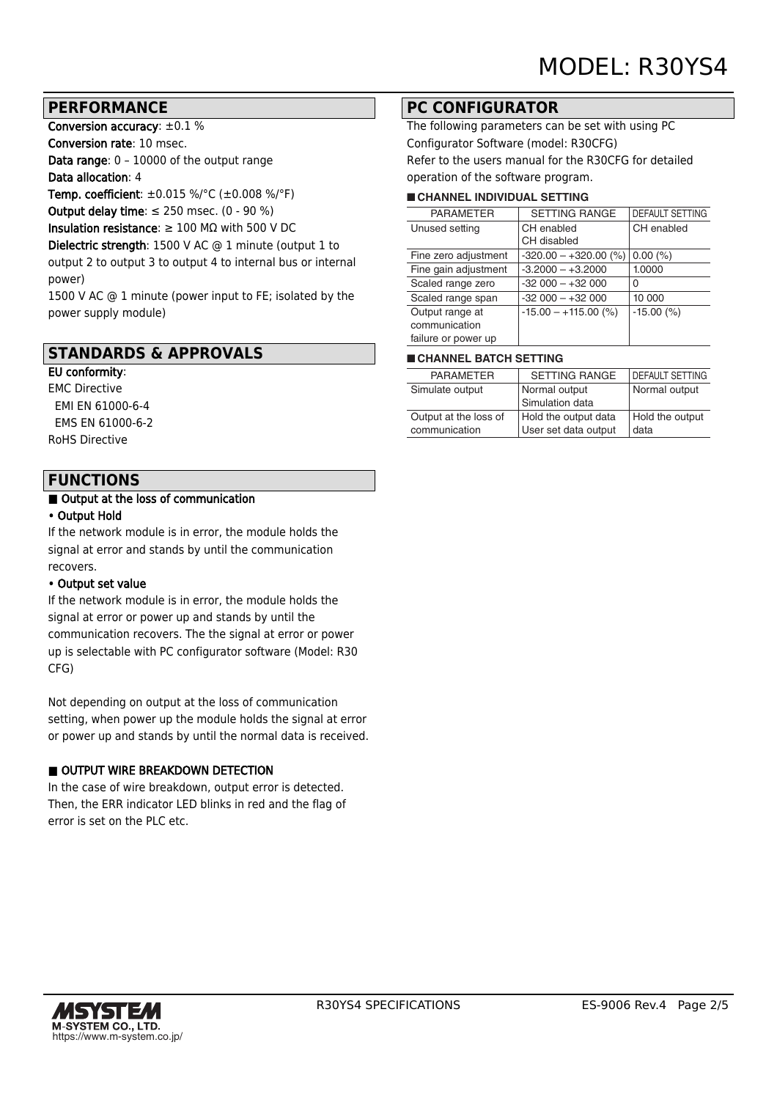## **PERFORMANCE**

Conversion accuracy: ±0.1 %

Conversion rate: 10 msec.

Data range: 0 – 10000 of the output range

Data allocation: 4

Temp. coefficient: ±0.015 %/°C (±0.008 %/°F)

Output delay time:  $\leq$  250 msec. (0 - 90 %)

Insulation resistance:  $\geq 100$  M $\Omega$  with 500 V DC

Dielectric strength: 1500 V AC @ 1 minute (output 1 to output 2 to output 3 to output 4 to internal bus or internal power)

1500 V AC @ 1 minute (power input to FE; isolated by the power supply module)

## **STANDARDS & APPROVALS**

## EU conformity:

EMC Directive EMI EN 61000-6-4 EMS EN 61000-6-2 RoHS Directive

## **FUNCTIONS**

#### ■ Output at the loss of communication

#### • Output Hold

If the network module is in error, the module holds the signal at error and stands by until the communication recovers.

#### • Output set value

If the network module is in error, the module holds the signal at error or power up and stands by until the communication recovers. The the signal at error or power up is selectable with PC configurator software (Model: R30 CFG)

Not depending on output at the loss of communication setting, when power up the module holds the signal at error or power up and stands by until the normal data is received.

### OUTPUT WIRE BREAKDOWN DETECTION

In the case of wire breakdown, output error is detected. Then, the ERR indicator LED blinks in red and the flag of error is set on the PLC etc.

## **PC CONFIGURATOR**

The following parameters can be set with using PC Configurator Software (model: R30CFG) Refer to the users manual for the R30CFG for detailed operation of the software program.

#### ■ **CHANNEL INDIVIDUAL SETTING**

| <b>PARAMETER</b>     | <b>SETTING RANGE</b>    | <b>DEFAULT SETTING</b> |
|----------------------|-------------------------|------------------------|
| Unused setting       | CH enabled              | CH enabled             |
|                      | CH disabled             |                        |
| Fine zero adjustment | $-320.00 - +320.00$ (%) | 0.00(%)                |
| Fine gain adjustment | $-3.2000 - +3.2000$     | 1.0000                 |
| Scaled range zero    | $-32000 - +32000$       | 0                      |
| Scaled range span    | $-32000 - +32000$       | 10 000                 |
| Output range at      | $-15.00 - +115.00$ (%)  | $-15.00$ (%)           |
| communication        |                         |                        |
| failure or power up  |                         |                        |

#### ■ **CHANNEL BATCH SETTING**

| <b>PARAMETER</b>      | <b>SETTING RANGE</b> | <b>I DEFAULT SETTING</b> |
|-----------------------|----------------------|--------------------------|
| Simulate output       | Normal output        | Normal output            |
|                       | Simulation data      |                          |
| Output at the loss of | Hold the output data | Hold the output          |
| communication         | User set data output | data                     |
|                       |                      |                          |

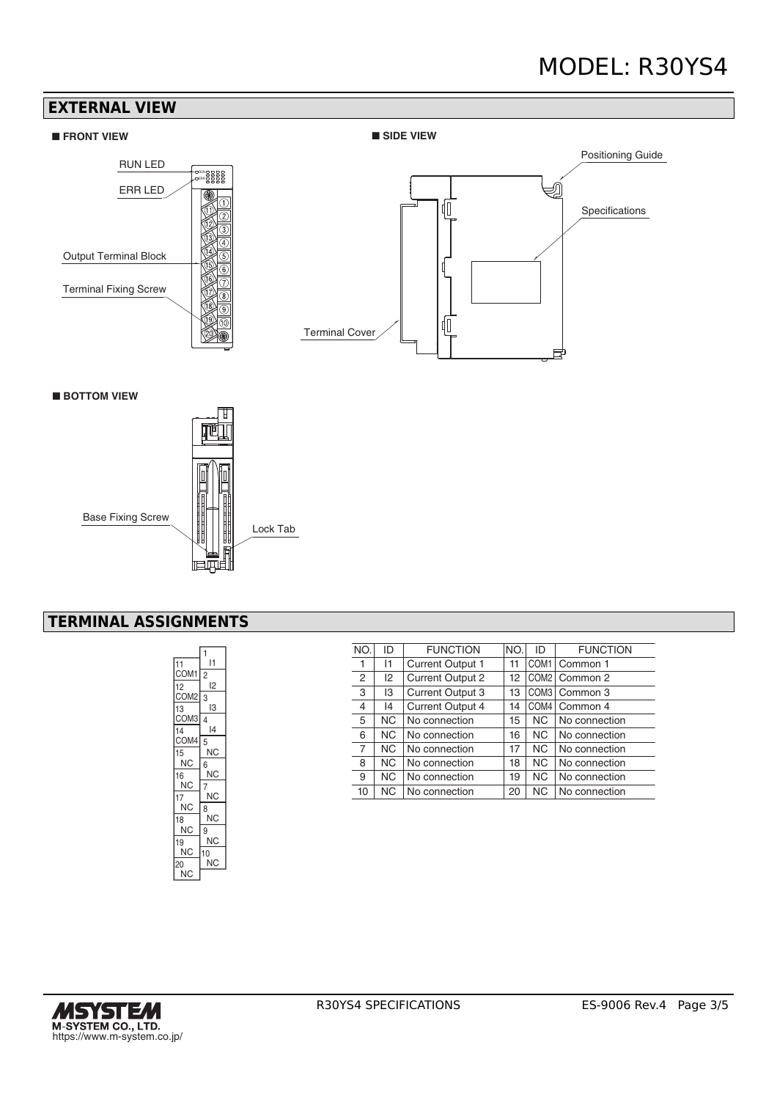# MODEL: R30YS4

## **EXTERNAL VIEW**





■ **BOTTOM VIEW**



# **TERMINAL ASSIGNMENTS**

|                  | 1  |
|------------------|----|
| 11               | l1 |
| COM <sub>1</sub> | 2  |
| 12               | l2 |
| COM <sub>2</sub> | 3  |
| 13               | IЗ |
| COM <sub>3</sub> | 4  |
| 14               | 14 |
| COM4             | 5  |
| 15               | ΝC |
| ΝC               | 6  |
| 16               | ΝC |
| ΝC               | 7  |
| 17               | ΝC |
| ΝC               | 8  |
| 18               | ΝC |
| ΝC               | 9  |
| 19               | ΝC |
| ΝC               | 10 |
| 20               | ΝC |
| ΝC               |    |

| NO. | ID        | <b>FUNCTION</b>         | NO. | ID               | <b>FUNCTION</b> |
|-----|-----------|-------------------------|-----|------------------|-----------------|
| 1   | 11        | <b>Current Output 1</b> | 11  | COM <sub>1</sub> | Common 1        |
| 2   | 12        | Current Output 2        | 12  |                  | COM2   Common 2 |
| 3   | IЗ        | <b>Current Output 3</b> | 13  |                  | COM3   Common 3 |
| 4   | 14        | <b>Current Output 4</b> | 14  | COM4             | Common 4        |
| 5   | NC.       | No connection           | 15  | NC.              | No connection   |
| 6   | NC.       | No connection           | 16  | NC.              | No connection   |
| 7   | <b>NC</b> | No connection           | 17  | NC.              | No connection   |
| 8   | NC.       | No connection           | 18  | <b>NC</b>        | No connection   |
| 9   | NC.       | No connection           | 19  | NC.              | No connection   |
| 10  | NC.       | No connection           | 20  | NC.              | No connection   |

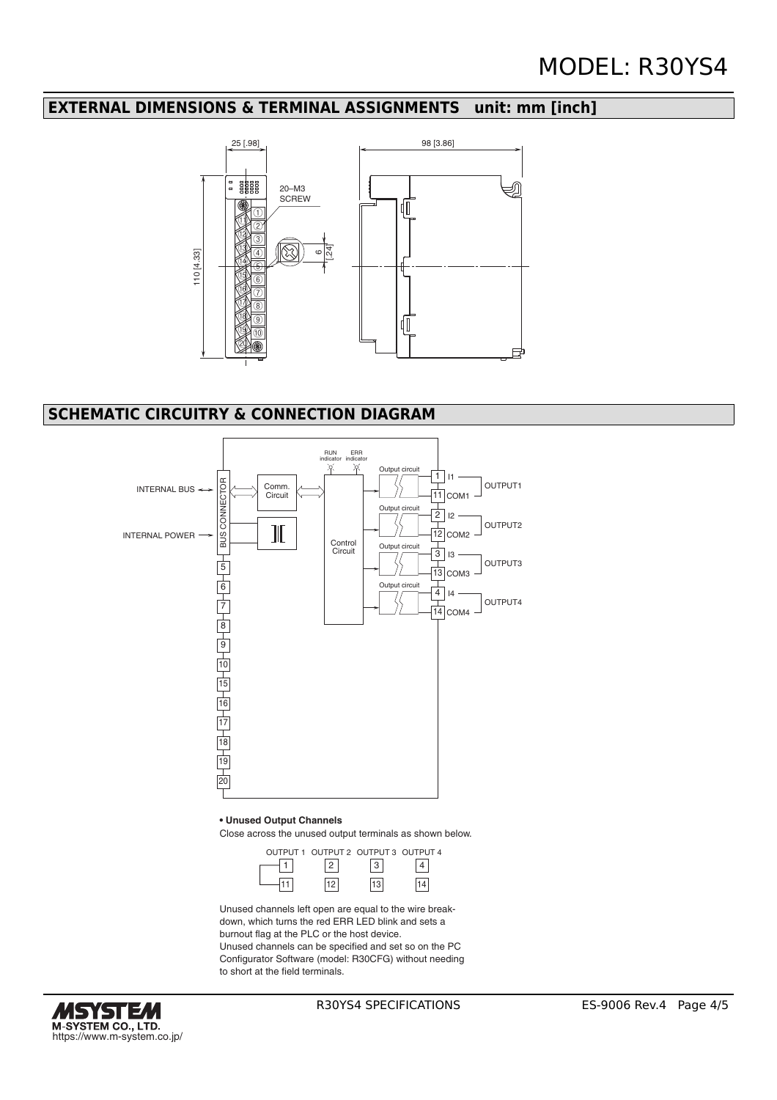## **EXTERNAL DIMENSIONS & TERMINAL ASSIGNMENTS unit: mm [inch]**



# **SCHEMATIC CIRCUITRY & CONNECTION DIAGRAM**



**• Unused Output Channels**

Close across the unused output terminals as shown below.

|  | OUTPUT 1 OUTPUT 2 OUTPUT 3 OUTPUT 4 |  |
|--|-------------------------------------|--|
|  |                                     |  |
|  |                                     |  |

Unused channels left open are equal to the wire breakdown, which turns the red ERR LED blink and sets a burnout flag at the PLC or the host device. Unused channels can be specified and set so on the PC Configurator Software (model: R30CFG) without needing to short at the field terminals.